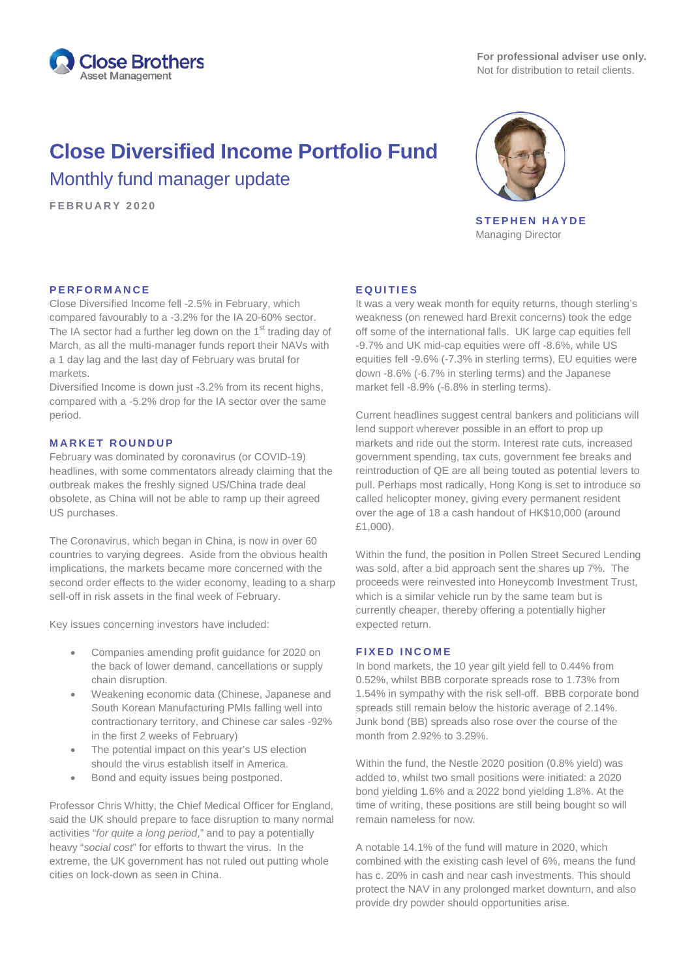

# **Close Diversified Income Portfolio Fund** Monthly fund manager update

**FEBRUARY 2 0 2 0**



**STEPHEN HAYDE** Managing Director

# **PERFORMANCE**

Close Diversified Income fell -2.5% in February, which compared favourably to a -3.2% for the IA 20-60% sector. The IA sector had a further leg down on the  $1<sup>st</sup>$  trading day of March, as all the multi-manager funds report their NAVs with a 1 day lag and the last day of February was brutal for markets.

Diversified Income is down just -3.2% from its recent highs, compared with a -5.2% drop for the IA sector over the same period.

### **MARKET ROUNDUP**

February was dominated by coronavirus (or COVID-19) headlines, with some commentators already claiming that the outbreak makes the freshly signed US/China trade deal obsolete, as China will not be able to ramp up their agreed US purchases.

The Coronavirus, which began in China, is now in over 60 countries to varying degrees. Aside from the obvious health implications, the markets became more concerned with the second order effects to the wider economy, leading to a sharp sell-off in risk assets in the final week of February.

Key issues concerning investors have included:

- Companies amending profit guidance for 2020 on the back of lower demand, cancellations or supply chain disruption.
- Weakening economic data (Chinese, Japanese and South Korean Manufacturing PMIs falling well into contractionary territory, and Chinese car sales -92% in the first 2 weeks of February)
- The potential impact on this year's US election should the virus establish itself in America.
- Bond and equity issues being postponed.

Professor Chris Whitty, the Chief Medical Officer for England, said the UK should prepare to face disruption to many normal activities "*for quite a long period*," and to pay a potentially heavy "*social cost*" for efforts to thwart the virus. In the extreme, the UK government has not ruled out putting whole cities on lock-down as seen in China.

#### **EQUITIES**

It was a very weak month for equity returns, though sterling's weakness (on renewed hard Brexit concerns) took the edge off some of the international falls. UK large cap equities fell -9.7% and UK mid-cap equities were off -8.6%, while US equities fell -9.6% (-7.3% in sterling terms), EU equities were down -8.6% (-6.7% in sterling terms) and the Japanese market fell -8.9% (-6.8% in sterling terms).

Current headlines suggest central bankers and politicians will lend support wherever possible in an effort to prop up markets and ride out the storm. Interest rate cuts, increased government spending, tax cuts, government fee breaks and reintroduction of QE are all being touted as potential levers to pull. Perhaps most radically, Hong Kong is set to introduce so called helicopter money, giving every permanent resident over the age of 18 a cash handout of HK\$10,000 (around £1,000).

Within the fund, the position in Pollen Street Secured Lending was sold, after a bid approach sent the shares up 7%. The proceeds were reinvested into Honeycomb Investment Trust, which is a similar vehicle run by the same team but is currently cheaper, thereby offering a potentially higher expected return.

#### **FIXED INCOME**

In bond markets, the 10 year gilt yield fell to 0.44% from 0.52%, whilst BBB corporate spreads rose to 1.73% from 1.54% in sympathy with the risk sell-off. BBB corporate bond spreads still remain below the historic average of 2.14%. Junk bond (BB) spreads also rose over the course of the month from 2.92% to 3.29%.

Within the fund, the Nestle 2020 position (0.8% yield) was added to, whilst two small positions were initiated: a 2020 bond yielding 1.6% and a 2022 bond yielding 1.8%. At the time of writing, these positions are still being bought so will remain nameless for now.

A notable 14.1% of the fund will mature in 2020, which combined with the existing cash level of 6%, means the fund has c. 20% in cash and near cash investments. This should protect the NAV in any prolonged market downturn, and also provide dry powder should opportunities arise.